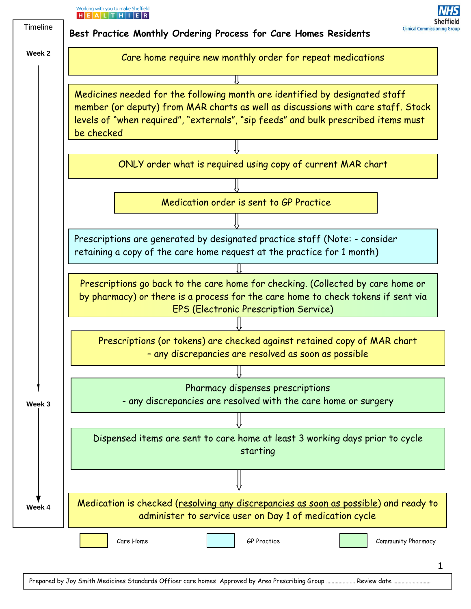

Prepared by Joy Smith Medicines Standards Officer care homes Approved by Area Prescribing Group …………………… Review date …

1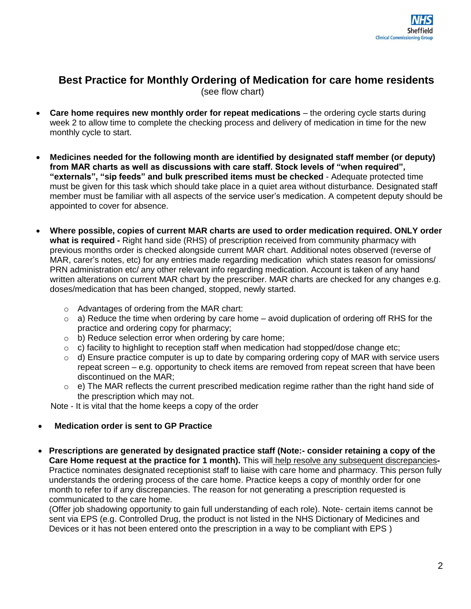## **Best Practice for Monthly Ordering of Medication for care home residents** (see flow chart)

- **Care home requires new monthly order for repeat medications** the ordering cycle starts during week 2 to allow time to complete the checking process and delivery of medication in time for the new monthly cycle to start.
- **Medicines needed for the following month are identified by designated staff member (or deputy) from MAR charts as well as discussions with care staff. Stock levels of "when required", "externals", "sip feeds" and bulk prescribed items must be checked** - Adequate protected time must be given for this task which should take place in a quiet area without disturbance. Designated staff member must be familiar with all aspects of the service user's medication. A competent deputy should be appointed to cover for absence.
- **Where possible, copies of current MAR charts are used to order medication required. ONLY order what is required -** Right hand side (RHS) of prescription received from community pharmacy with previous months order is checked alongside current MAR chart. Additional notes observed (reverse of MAR, carer's notes, etc) for any entries made regarding medication which states reason for omissions/ PRN administration etc/ any other relevant info regarding medication. Account is taken of any hand written alterations on current MAR chart by the prescriber. MAR charts are checked for any changes e.g. doses/medication that has been changed, stopped, newly started.
	- o Advantages of ordering from the MAR chart:
	- $\circ$  a) Reduce the time when ordering by care home avoid duplication of ordering off RHS for the practice and ordering copy for pharmacy;
	- o b) Reduce selection error when ordering by care home;
	- $\circ$  c) facility to highlight to reception staff when medication had stopped/dose change etc;
	- $\circ$  d) Ensure practice computer is up to date by comparing ordering copy of MAR with service users repeat screen – e.g. opportunity to check items are removed from repeat screen that have been discontinued on the MAR;
	- $\circ$  e) The MAR reflects the current prescribed medication regime rather than the right hand side of the prescription which may not.

Note - It is vital that the home keeps a copy of the order

## **Medication order is sent to GP Practice**

 **Prescriptions are generated by designated practice staff (Note:- consider retaining a copy of the**  Care Home request at the practice for 1 month). This will help resolve any subsequent discrepancies-Practice nominates designated receptionist staff to liaise with care home and pharmacy. This person fully understands the ordering process of the care home. Practice keeps a copy of monthly order for one month to refer to if any discrepancies. The reason for not generating a prescription requested is communicated to the care home.

(Offer job shadowing opportunity to gain full understanding of each role). Note- certain items cannot be sent via EPS (e.g. Controlled Drug, the product is not listed in the NHS Dictionary of Medicines and Devices or it has not been entered onto the prescription in a way to be compliant with EPS )